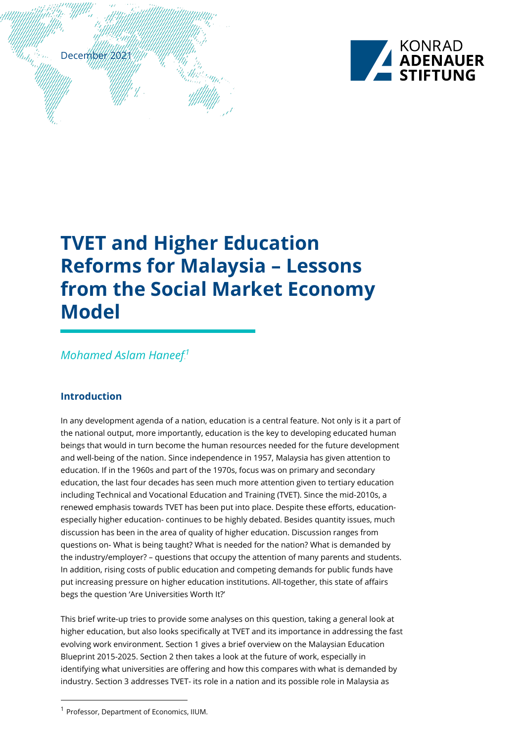

# **TVET and Higher Education Reforms for Malaysia – Lessons from the Social Market Economy Model**

# **Mohamed Aslam Haneef.<sup>1</sup>**

# **Introduction**

December 2021

In any development agenda of a nation, education is a central feature. Not only is it a part of the national output, more importantly, education is the key to developing educated human beings that would in turn become the human resources needed for the future development and well-being of the nation. Since independence in 1957, Malaysia has given attention to education. If in the 1960s and part of the 1970s, focus was on primary and secondary education, the last four decades has seen much more attention given to tertiary education including Technical and Vocational Education and Training (TVET). Since the mid-2010s, a renewed emphasis towards TVET has been put into place. Despite these efforts, educationespecially higher education- continues to be highly debated. Besides quantity issues, much discussion has been in the area of quality of higher education. Discussion ranges from questions on- What is being taught? What is needed for the nation? What is demanded by the industry/employer? – questions that occupy the attention of many parents and students. In addition, rising costs of public education and competing demands for public funds have put increasing pressure on higher education institutions. All-together, this state of affairs begs the question 'Are Universities Worth It?'

This brief write-up tries to provide some analyses on this question, taking a general look at higher education, but also looks specifically at TVET and its importance in addressing the fast evolving work environment. Section 1 gives a brief overview on the Malaysian Education Blueprint 2015-2025. Section 2 then takes a look at the future of work, especially in identifying what universities are offering and how this compares with what is demanded by industry. Section 3 addresses TVET- its role in a nation and its possible role in Malaysia as

 <sup>1</sup> Professor, Department of Economics, IIUM.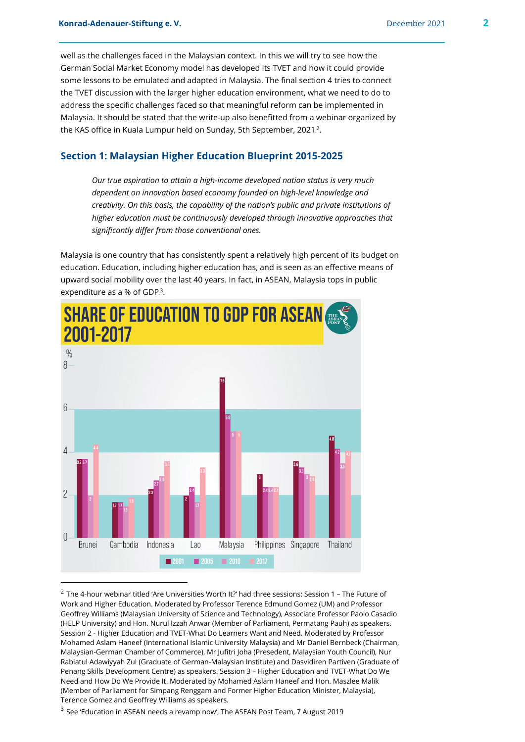well as the challenges faced in the Malaysian context. In this we will try to see how the German Social Market Economy model has developed its TVET and how it could provide some lessons to be emulated and adapted in Malaysia. The final section 4 tries to connect the TVET discussion with the larger higher education environment, what we need to do to address the specific challenges faced so that meaningful reform can be implemented in Malaysia. It should be stated that the write-up also benefitted from a webinar organized by the KAS office in Kuala Lumpur held on Sunday, 5th September, 2021.<sup>2</sup>.

# **Section 1: Malaysian Higher Education Blueprint 2015-2025**

*Our true aspiration to attain a high-income developed nation status is very much dependent on innovation based economy founded on high-level knowledge and creativity. On this basis, the capability of the nation's public and private institutions of higher education must be continuously developed through innovative approaches that significantly differ from those conventional ones.*

Malaysia is one country that has consistently spent a relatively high percent of its budget on education. Education, including higher education has, and is seen as an effective means of upward social mobility over the last 40 years. In fact, in ASEAN, Malaysia tops in public expenditure as a % of GDP.<sup>3</sup>.



 $2$  The 4-hour webinar titled 'Are Universities Worth It?' had three sessions: Session 1 – The Future of Work and Higher Education. Moderated by Professor Terence Edmund Gomez (UM) and Professor Geoffrey Williams (Malaysian University of Science and Technology), Associate Professor Paolo Casadio (HELP University) and Hon. Nurul Izzah Anwar (Member of Parliament, Permatang Pauh) as speakers. Session 2 - Higher Education and TVET-What Do Learners Want and Need. Moderated by Professor Mohamed Aslam Haneef (International Islamic University Malaysia) and Mr Daniel Bernbeck (Chairman, Malaysian-German Chamber of Commerce), Mr Jufitri Joha (Presedent, Malaysian Youth Council), Nur Rabiatul Adawiyyah Zul (Graduate of German-Malaysian Institute) and Dasvidiren Partiven (Graduate of Penang Skills Development Centre) as speakers. Session 3 – Higher Education and TVET-What Do We Need and How Do We Provide It. Moderated by Mohamed Aslam Haneef and Hon. Maszlee Malik (Member of Parliament for Simpang Renggam and Former Higher Education Minister, Malaysia), Terence Gomez and Geoffrey Williams as speakers.

<sup>3</sup> See 'Education in ASEAN needs a revamp now', The ASEAN Post Team, 7 August 2019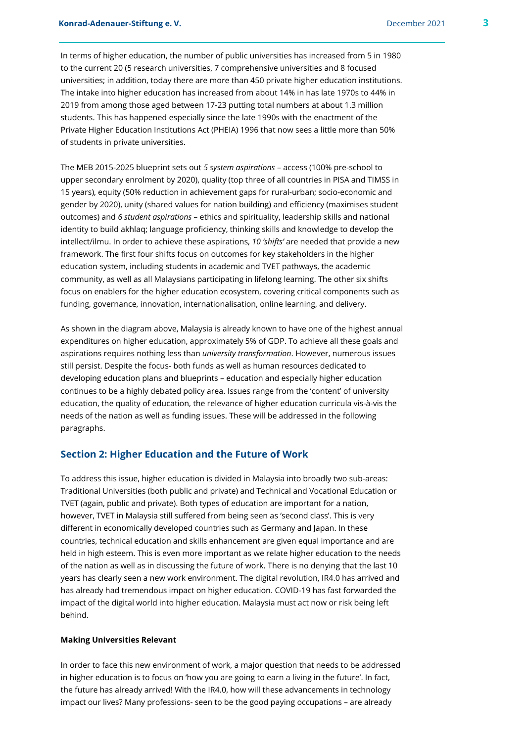In terms of higher education, the number of public universities has increased from 5 in 1980 to the current 20 (5 research universities, 7 comprehensive universities and 8 focused universities; in addition, today there are more than 450 private higher education institutions. The intake into higher education has increased from about 14% in has late 1970s to 44% in 2019 from among those aged between 17-23 putting total numbers at about 1.3 million students. This has happened especially since the late 1990s with the enactment of the Private Higher Education Institutions Act (PHEIA) 1996 that now sees a little more than 50% of students in private universities.

The MEB 2015-2025 blueprint sets out *5 system aspirations* – access (100% pre-school to upper secondary enrolment by 2020), quality (top three of all countries in PISA and TIMSS in 15 years), equity (50% reduction in achievement gaps for rural-urban; socio-economic and gender by 2020), unity (shared values for nation building) and efficiency (maximises student outcomes) and *6 student aspirations* – ethics and spirituality, leadership skills and national identity to build akhlaq; language proficiency, thinking skills and knowledge to develop the intellect/ilmu. In order to achieve these aspirations, *10 'shifts'* are needed that provide a new framework. The first four shifts focus on outcomes for key stakeholders in the higher education system, including students in academic and TVET pathways, the academic community, as well as all Malaysians participating in lifelong learning. The other six shifts focus on enablers for the higher education ecosystem, covering critical components such as funding, governance, innovation, internationalisation, online learning, and delivery.

As shown in the diagram above, Malaysia is already known to have one of the highest annual expenditures on higher education, approximately 5% of GDP. To achieve all these goals and aspirations requires nothing less than *university transformation*. However, numerous issues still persist. Despite the focus- both funds as well as human resources dedicated to developing education plans and blueprints – education and especially higher education continues to be a highly debated policy area. Issues range from the 'content' of university education, the quality of education, the relevance of higher education curricula vis-à-vis the needs of the nation as well as funding issues. These will be addressed in the following paragraphs.

# **Section 2: Higher Education and the Future of Work**

To address this issue, higher education is divided in Malaysia into broadly two sub-areas: Traditional Universities (both public and private) and Technical and Vocational Education or TVET (again, public and private). Both types of education are important for a nation, however, TVET in Malaysia still suffered from being seen as 'second class'. This is very different in economically developed countries such as Germany and Japan. In these countries, technical education and skills enhancement are given equal importance and are held in high esteem. This is even more important as we relate higher education to the needs of the nation as well as in discussing the future of work. There is no denying that the last 10 years has clearly seen a new work environment. The digital revolution, IR4.0 has arrived and has already had tremendous impact on higher education. COVID-19 has fast forwarded the impact of the digital world into higher education. Malaysia must act now or risk being left behind.

#### **Making Universities Relevant**

In order to face this new environment of work, a major question that needs to be addressed in higher education is to focus on 'how you are going to earn a living in the future'. In fact, the future has already arrived! With the IR4.0, how will these advancements in technology impact our lives? Many professions- seen to be the good paying occupations – are already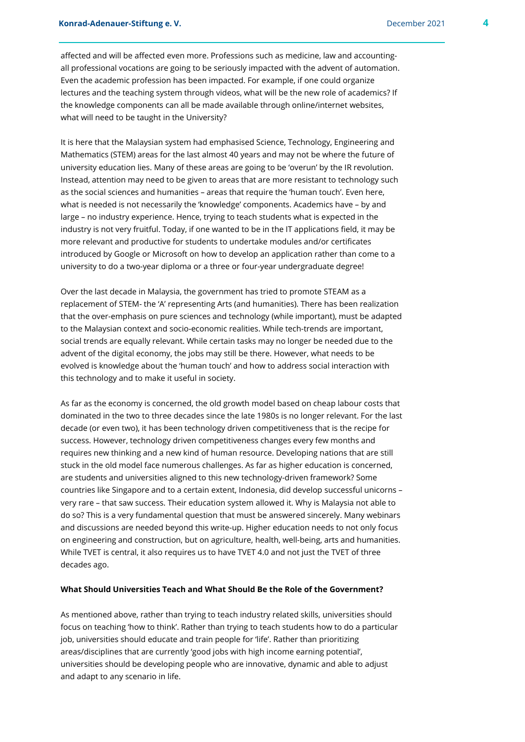affected and will be affected even more. Professions such as medicine, law and accountingall professional vocations are going to be seriously impacted with the advent of automation. Even the academic profession has been impacted. For example, if one could organize lectures and the teaching system through videos, what will be the new role of academics? If the knowledge components can all be made available through online/internet websites, what will need to be taught in the University?

It is here that the Malaysian system had emphasised Science, Technology, Engineering and Mathematics (STEM) areas for the last almost 40 years and may not be where the future of university education lies. Many of these areas are going to be 'overun' by the IR revolution. Instead, attention may need to be given to areas that are more resistant to technology such as the social sciences and humanities – areas that require the 'human touch'. Even here, what is needed is not necessarily the 'knowledge' components. Academics have – by and large – no industry experience. Hence, trying to teach students what is expected in the industry is not very fruitful. Today, if one wanted to be in the IT applications field, it may be more relevant and productive for students to undertake modules and/or certificates introduced by Google or Microsoft on how to develop an application rather than come to a university to do a two-year diploma or a three or four-year undergraduate degree!

Over the last decade in Malaysia, the government has tried to promote STEAM as a replacement of STEM- the 'A' representing Arts (and humanities). There has been realization that the over-emphasis on pure sciences and technology (while important), must be adapted to the Malaysian context and socio-economic realities. While tech-trends are important, social trends are equally relevant. While certain tasks may no longer be needed due to the advent of the digital economy, the jobs may still be there. However, what needs to be evolved is knowledge about the 'human touch' and how to address social interaction with this technology and to make it useful in society.

As far as the economy is concerned, the old growth model based on cheap labour costs that dominated in the two to three decades since the late 1980s is no longer relevant. For the last decade (or even two), it has been technology driven competitiveness that is the recipe for success. However, technology driven competitiveness changes every few months and requires new thinking and a new kind of human resource. Developing nations that are still stuck in the old model face numerous challenges. As far as higher education is concerned, are students and universities aligned to this new technology-driven framework? Some countries like Singapore and to a certain extent, Indonesia, did develop successful unicorns – very rare – that saw success. Their education system allowed it. Why is Malaysia not able to do so? This is a very fundamental question that must be answered sincerely. Many webinars and discussions are needed beyond this write-up. Higher education needs to not only focus on engineering and construction, but on agriculture, health, well-being, arts and humanities. While TVET is central, it also requires us to have TVET 4.0 and not just the TVET of three decades ago.

#### **What Should Universities Teach and What Should Be the Role of the Government?**

As mentioned above, rather than trying to teach industry related skills, universities should focus on teaching 'how to think'. Rather than trying to teach students how to do a particular job, universities should educate and train people for 'life'. Rather than prioritizing areas/disciplines that are currently 'good jobs with high income earning potential', universities should be developing people who are innovative, dynamic and able to adjust and adapt to any scenario in life.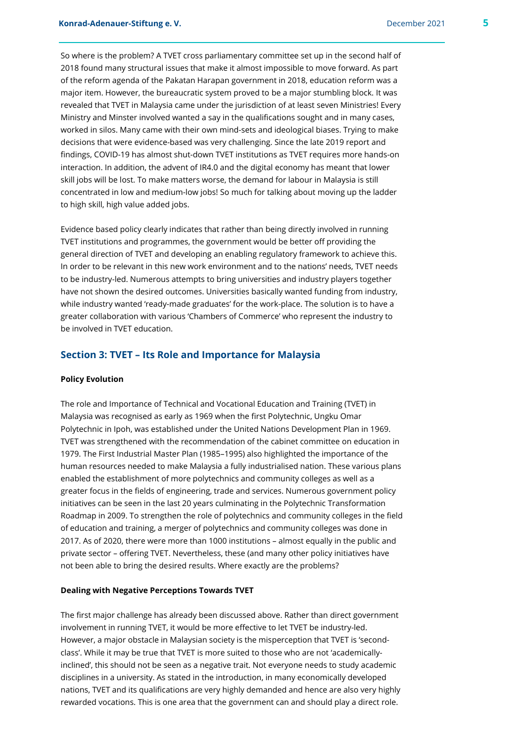So where is the problem? A TVET cross parliamentary committee set up in the second half of 2018 found many structural issues that make it almost impossible to move forward. As part of the reform agenda of the Pakatan Harapan government in 2018, education reform was a major item. However, the bureaucratic system proved to be a major stumbling block. It was revealed that TVET in Malaysia came under the jurisdiction of at least seven Ministries! Every Ministry and Minster involved wanted a say in the qualifications sought and in many cases, worked in silos. Many came with their own mind-sets and ideological biases. Trying to make decisions that were evidence-based was very challenging. Since the late 2019 report and findings, COVID-19 has almost shut-down TVET institutions as TVET requires more hands-on interaction. In addition, the advent of IR4.0 and the digital economy has meant that lower skill jobs will be lost. To make matters worse, the demand for labour in Malaysia is still concentrated in low and medium-low jobs! So much for talking about moving up the ladder to high skill, high value added jobs.

Evidence based policy clearly indicates that rather than being directly involved in running TVET institutions and programmes, the government would be better off providing the general direction of TVET and developing an enabling regulatory framework to achieve this. In order to be relevant in this new work environment and to the nations' needs, TVET needs to be industry-led. Numerous attempts to bring universities and industry players together have not shown the desired outcomes. Universities basically wanted funding from industry, while industry wanted 'ready-made graduates' for the work-place. The solution is to have a greater collaboration with various 'Chambers of Commerce' who represent the industry to be involved in TVET education.

# **Section 3: TVET – Its Role and Importance for Malaysia**

#### **Policy Evolution**

The role and Importance of Technical and Vocational Education and Training (TVET) in Malaysia was recognised as early as 1969 when the first Polytechnic, Ungku Omar Polytechnic in Ipoh, was established under the United Nations Development Plan in 1969. TVET was strengthened with the recommendation of the cabinet committee on education in 1979. The First Industrial Master Plan (1985–1995) also highlighted the importance of the human resources needed to make Malaysia a fully industrialised nation. These various plans enabled the establishment of more polytechnics and community colleges as well as a greater focus in the fields of engineering, trade and services. Numerous government policy initiatives can be seen in the last 20 years culminating in the Polytechnic Transformation Roadmap in 2009. To strengthen the role of polytechnics and community colleges in the field of education and training, a merger of polytechnics and community colleges was done in 2017. As of 2020, there were more than 1000 institutions – almost equally in the public and private sector – offering TVET. Nevertheless, these (and many other policy initiatives have not been able to bring the desired results. Where exactly are the problems?

#### **Dealing with Negative Perceptions Towards TVET**

The first major challenge has already been discussed above. Rather than direct government involvement in running TVET, it would be more effective to let TVET be industry-led. However, a major obstacle in Malaysian society is the misperception that TVET is 'secondclass'. While it may be true that TVET is more suited to those who are not 'academicallyinclined', this should not be seen as a negative trait. Not everyone needs to study academic disciplines in a university. As stated in the introduction, in many economically developed nations, TVET and its qualifications are very highly demanded and hence are also very highly rewarded vocations. This is one area that the government can and should play a direct role.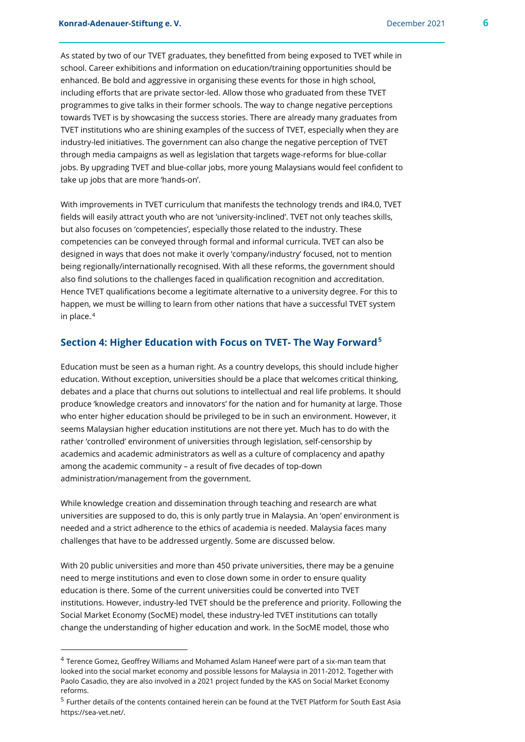As stated by two of our TVET graduates, they benefitted from being exposed to TVET while in school. Career exhibitions and information on education/training opportunities should be enhanced. Be bold and aggressive in organising these events for those in high school, including efforts that are private sector-led. Allow those who graduated from these TVET programmes to give talks in their former schools. The way to change negative perceptions towards TVET is by showcasing the success stories. There are already many graduates from TVET institutions who are shining examples of the success of TVET, especially when they are industry-led initiatives. The government can also change the negative perception of TVET through media campaigns as well as legislation that targets wage-reforms for blue-collar jobs. By upgrading TVET and blue-collar jobs, more young Malaysians would feel confident to take up jobs that are more 'hands-on'.

With improvements in TVET curriculum that manifests the technology trends and IR4.0, TVET fields will easily attract youth who are not 'university-inclined'. TVET not only teaches skills, but also focuses on 'competencies', especially those related to the industry. These competencies can be conveyed through formal and informal curricula. TVET can also be designed in ways that does not make it overly 'company/industry' focused, not to mention being regionally/internationally recognised. With all these reforms, the government should also find solutions to the challenges faced in qualification recognition and accreditation. Hence TVET qualifications become a legitimate alternative to a university degree. For this to happen, we must be willing to learn from other nations that have a successful TVET system in place.<sup>4</sup>

# Section 4: Higher Education with Focus on TVET- The Way Forward<sup>5</sup>

Education must be seen as a human right. As a country develops, this should include higher education. Without exception, universities should be a place that welcomes critical thinking, debates and a place that churns out solutions to intellectual and real life problems. It should produce 'knowledge creators and innovators' for the nation and for humanity at large. Those who enter higher education should be privileged to be in such an environment. However, it seems Malaysian higher education institutions are not there yet. Much has to do with the rather 'controlled' environment of universities through legislation, self-censorship by academics and academic administrators as well as a culture of complacency and apathy among the academic community – a result of five decades of top-down administration/management from the government.

While knowledge creation and dissemination through teaching and research are what universities are supposed to do, this is only partly true in Malaysia. An 'open' environment is needed and a strict adherence to the ethics of academia is needed. Malaysia faces many challenges that have to be addressed urgently. Some are discussed below.

With 20 public universities and more than 450 private universities, there may be a genuine need to merge institutions and even to close down some in order to ensure quality education is there. Some of the current universities could be converted into TVET institutions. However, industry-led TVET should be the preference and priority. Following the Social Market Economy (SocME) model, these industry-led TVET institutions can totally change the understanding of higher education and work. In the SocME model, those who

 <sup>4</sup> Terence Gomez, Geoffrey Williams and Mohamed Aslam Haneef were part of a six-man team that looked into the social market economy and possible lessons for Malaysia in 2011-2012. Together with Paolo Casadio, they are also involved in a 2021 project funded by the KAS on Social Market Economy reforms.

<sup>5</sup> Further details of the contents contained herein can be found at the TVET Platform for South East Asia https://sea-vet.net/.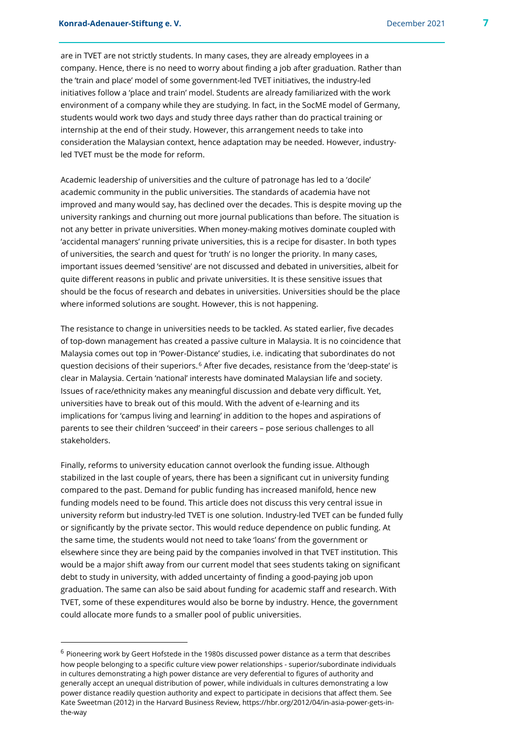are in TVET are not strictly students. In many cases, they are already employees in a company. Hence, there is no need to worry about finding a job after graduation. Rather than the 'train and place' model of some government-led TVET initiatives, the industry-led initiatives follow a 'place and train' model. Students are already familiarized with the work environment of a company while they are studying. In fact, in the SocME model of Germany, students would work two days and study three days rather than do practical training or internship at the end of their study. However, this arrangement needs to take into consideration the Malaysian context, hence adaptation may be needed. However, industryled TVET must be the mode for reform.

Academic leadership of universities and the culture of patronage has led to a 'docile' academic community in the public universities. The standards of academia have not improved and many would say, has declined over the decades. This is despite moving up the university rankings and churning out more journal publications than before. The situation is not any better in private universities. When money-making motives dominate coupled with 'accidental managers' running private universities, this is a recipe for disaster. In both types of universities, the search and quest for 'truth' is no longer the priority. In many cases, important issues deemed 'sensitive' are not discussed and debated in universities, albeit for quite different reasons in public and private universities. It is these sensitive issues that should be the focus of research and debates in universities. Universities should be the place where informed solutions are sought. However, this is not happening.

The resistance to change in universities needs to be tackled. As stated earlier, five decades of top-down management has created a passive culture in Malaysia. It is no coincidence that Malaysia comes out top in 'Power-Distance' studies, i.e. indicating that subordinates do not question decisions of their superiors.<sup>6</sup> After five decades, resistance from the 'deep-state' is clear in Malaysia. Certain 'national' interests have dominated Malaysian life and society. Issues of race/ethnicity makes any meaningful discussion and debate very difficult. Yet, universities have to break out of this mould. With the advent of e-learning and its implications for 'campus living and learning' in addition to the hopes and aspirations of parents to see their children 'succeed' in their careers – pose serious challenges to all stakeholders.

Finally, reforms to university education cannot overlook the funding issue. Although stabilized in the last couple of years, there has been a significant cut in university funding compared to the past. Demand for public funding has increased manifold, hence new funding models need to be found. This article does not discuss this very central issue in university reform but industry-led TVET is one solution. Industry-led TVET can be funded fully or significantly by the private sector. This would reduce dependence on public funding. At the same time, the students would not need to take 'loans' from the government or elsewhere since they are being paid by the companies involved in that TVET institution. This would be a major shift away from our current model that sees students taking on significant debt to study in university, with added uncertainty of finding a good-paying job upon graduation. The same can also be said about funding for academic staff and research. With TVET, some of these expenditures would also be borne by industry. Hence, the government could allocate more funds to a smaller pool of public universities.

 <sup>6</sup> Pioneering work by Geert Hofstede in the 1980s discussed power distance as a term that describes how people belonging to a specific culture view power relationships - superior/subordinate individuals in cultures demonstrating a high power distance are very deferential to figures of authority and generally accept an unequal distribution of power, while individuals in cultures demonstrating a low power distance readily question authority and expect to participate in decisions that affect them. See Kate Sweetman (2012) in the Harvard Business Review, https://hbr.org/2012/04/in-asia-power-gets-inthe-way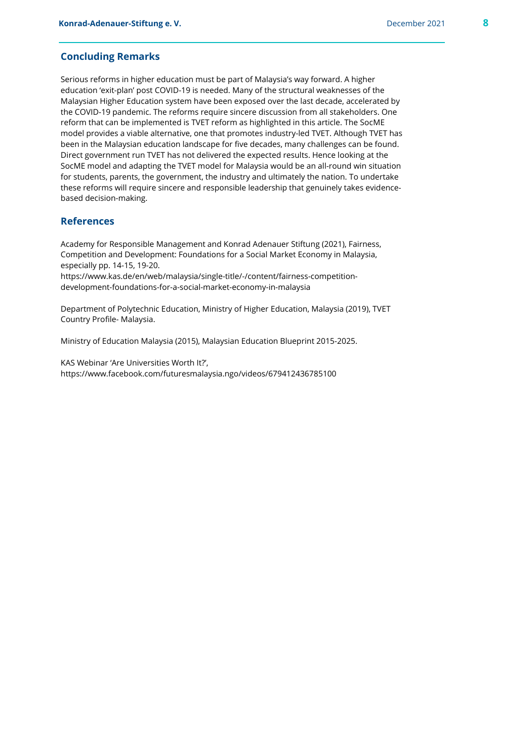#### **Concluding Remarks**

Serious reforms in higher education must be part of Malaysia's way forward. A higher education 'exit-plan' post COVID-19 is needed. Many of the structural weaknesses of the Malaysian Higher Education system have been exposed over the last decade, accelerated by the COVID-19 pandemic. The reforms require sincere discussion from all stakeholders. One reform that can be implemented is TVET reform as highlighted in this article. The SocME model provides a viable alternative, one that promotes industry-led TVET. Although TVET has been in the Malaysian education landscape for five decades, many challenges can be found. Direct government run TVET has not delivered the expected results. Hence looking at the SocME model and adapting the TVET model for Malaysia would be an all-round win situation for students, parents, the government, the industry and ultimately the nation. To undertake these reforms will require sincere and responsible leadership that genuinely takes evidencebased decision-making.

# **References**

Academy for Responsible Management and Konrad Adenauer Stiftung (2021), Fairness, Competition and Development: Foundations for a Social Market Economy in Malaysia, especially pp. 14-15, 19-20.

https://www.kas.de/en/web/malaysia/single-title/-/content/fairness-competitiondevelopment-foundations-for-a-social-market-economy-in-malaysia

Department of Polytechnic Education, Ministry of Higher Education, Malaysia (2019), TVET Country Profile- Malaysia.

Ministry of Education Malaysia (2015), Malaysian Education Blueprint 2015-2025.

KAS Webinar 'Are Universities Worth It?', https://www.facebook.com/futuresmalaysia.ngo/videos/679412436785100